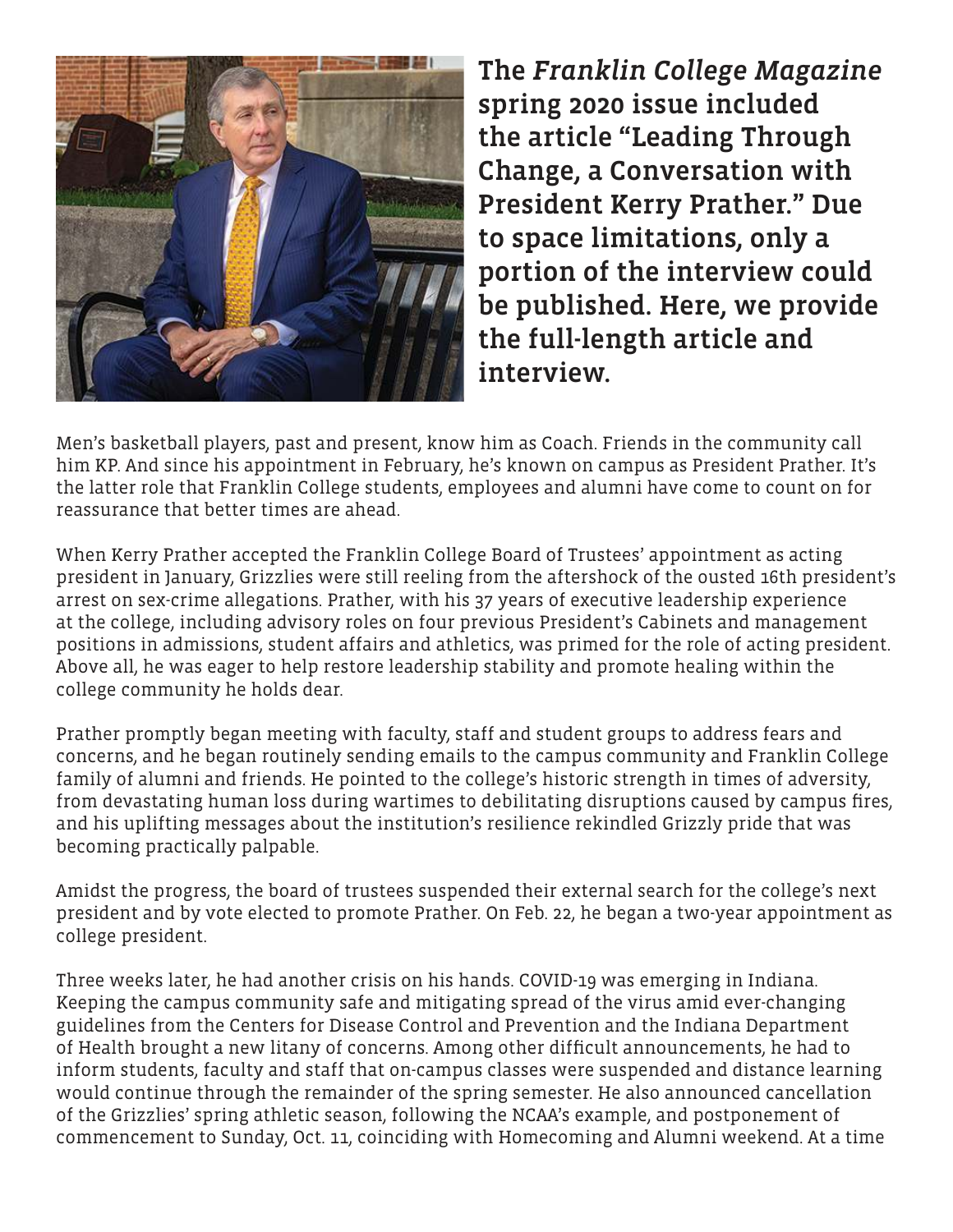

The *Franklin College Magazine* spring 2020 issue included the article "Leading Through Change, a Conversation with President Kerry Prather." Due to space limitations, only a portion of the interview could be published. Here, we provide the full-length article and interview.

Men's basketball players, past and present, know him as Coach. Friends in the community call him KP. And since his appointment in February, he's known on campus as President Prather. It's the latter role that Franklin College students, employees and alumni have come to count on for reassurance that better times are ahead.

When Kerry Prather accepted the Franklin College Board of Trustees' appointment as acting president in January, Grizzlies were still reeling from the aftershock of the ousted 16th president's arrest on sex-crime allegations. Prather, with his 37 years of executive leadership experience at the college, including advisory roles on four previous President's Cabinets and management positions in admissions, student affairs and athletics, was primed for the role of acting president. Above all, he was eager to help restore leadership stability and promote healing within the college community he holds dear.

Prather promptly began meeting with faculty, staff and student groups to address fears and concerns, and he began routinely sending emails to the campus community and Franklin College family of alumni and friends. He pointed to the college's historic strength in times of adversity, from devastating human loss during wartimes to debilitating disruptions caused by campus fires, and his uplifting messages about the institution's resilience rekindled Grizzly pride that was becoming practically palpable.

Amidst the progress, the board of trustees suspended their external search for the college's next president and by vote elected to promote Prather. On Feb. 22, he began a two-year appointment as college president.

Three weeks later, he had another crisis on his hands. COVID-19 was emerging in Indiana. Keeping the campus community safe and mitigating spread of the virus amid ever-changing guidelines from the Centers for Disease Control and Prevention and the Indiana Department of Health brought a new litany of concerns. Among other difficult announcements, he had to inform students, faculty and staff that on-campus classes were suspended and distance learning would continue through the remainder of the spring semester. He also announced cancellation of the Grizzlies' spring athletic season, following the NCAA's example, and postponement of commencement to Sunday, Oct. 11, coinciding with Homecoming and Alumni weekend. At a time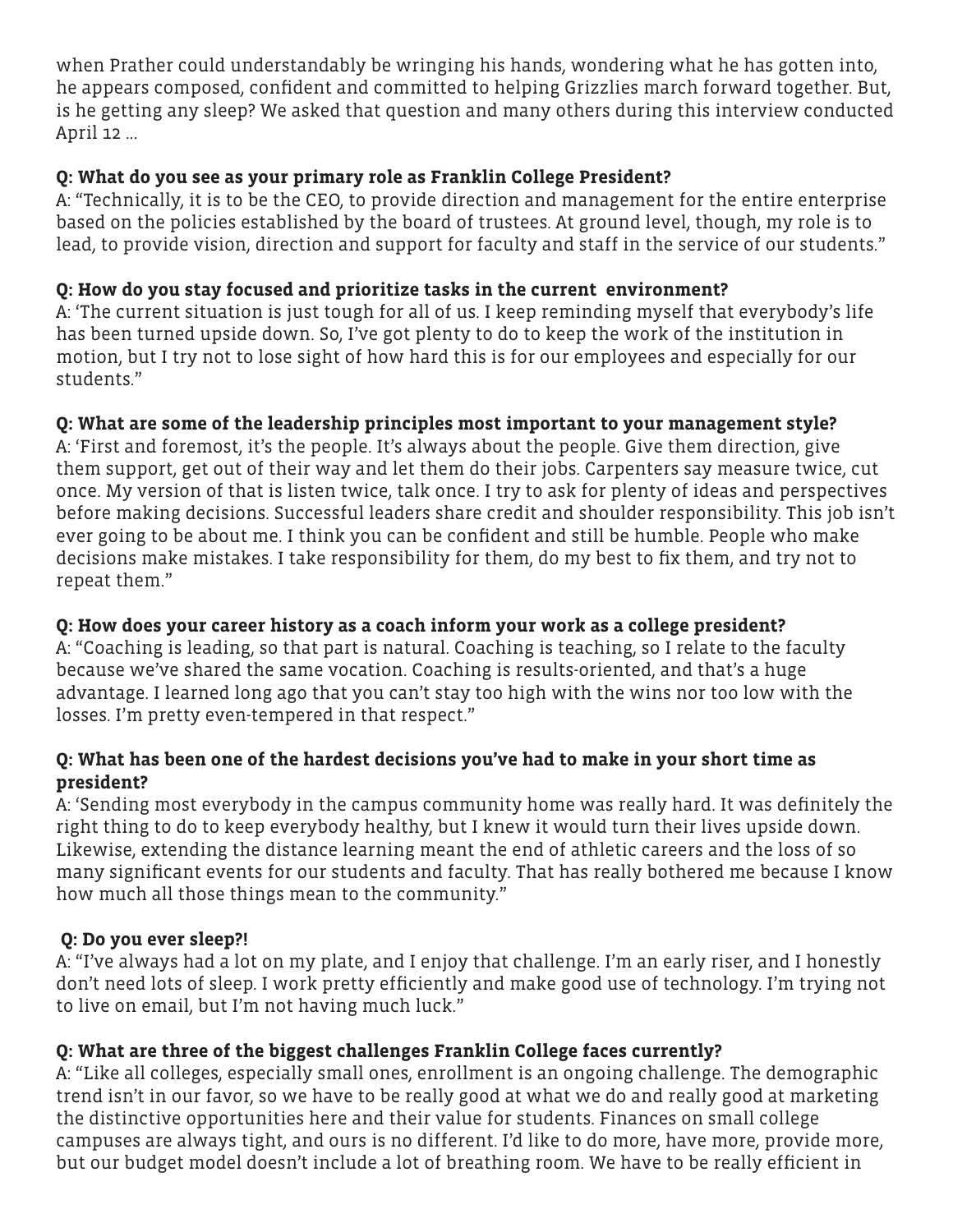when Prather could understandably be wringing his hands, wondering what he has gotten into, he appears composed, confident and committed to helping Grizzlies march forward together. But, is he getting any sleep? We asked that question and many others during this interview conducted April 12 ...

# **Q: What do you see as your primary role as Franklin College President?**

A: "Technically, it is to be the CEO, to provide direction and management for the entire enterprise based on the policies established by the board of trustees. At ground level, though, my role is to lead, to provide vision, direction and support for faculty and staff in the service of our students."

# **Q: How do you stay focused and prioritize tasks in the current environment?**

A: 'The current situation is just tough for all of us. I keep reminding myself that everybody's life has been turned upside down. So, I've got plenty to do to keep the work of the institution in motion, but I try not to lose sight of how hard this is for our employees and especially for our students."

## **Q: What are some of the leadership principles most important to your management style?**

A: 'First and foremost, it's the people. It's always about the people. Give them direction, give them support, get out of their way and let them do their jobs. Carpenters say measure twice, cut once. My version of that is listen twice, talk once. I try to ask for plenty of ideas and perspectives before making decisions. Successful leaders share credit and shoulder responsibility. This job isn't ever going to be about me. I think you can be confident and still be humble. People who make decisions make mistakes. I take responsibility for them, do my best to fix them, and try not to repeat them."

## **Q: How does your career history as a coach inform your work as a college president?**

A: "Coaching is leading, so that part is natural. Coaching is teaching, so I relate to the faculty because we've shared the same vocation. Coaching is results-oriented, and that's a huge advantage. I learned long ago that you can't stay too high with the wins nor too low with the losses. I'm pretty even-tempered in that respect."

## **Q: What has been one of the hardest decisions you've had to make in your short time as president?**

A: 'Sending most everybody in the campus community home was really hard. It was definitely the right thing to do to keep everybody healthy, but I knew it would turn their lives upside down. Likewise, extending the distance learning meant the end of athletic careers and the loss of so many significant events for our students and faculty. That has really bothered me because I know how much all those things mean to the community."

# **Q: Do you ever sleep?!**

A: "I've always had a lot on my plate, and I enjoy that challenge. I'm an early riser, and I honestly don't need lots of sleep. I work pretty efficiently and make good use of technology. I'm trying not to live on email, but I'm not having much luck."

# **Q: What are three of the biggest challenges Franklin College faces currently?**

A: "Like all colleges, especially small ones, enrollment is an ongoing challenge. The demographic trend isn't in our favor, so we have to be really good at what we do and really good at marketing the distinctive opportunities here and their value for students. Finances on small college campuses are always tight, and ours is no different. I'd like to do more, have more, provide more, but our budget model doesn't include a lot of breathing room. We have to be really efficient in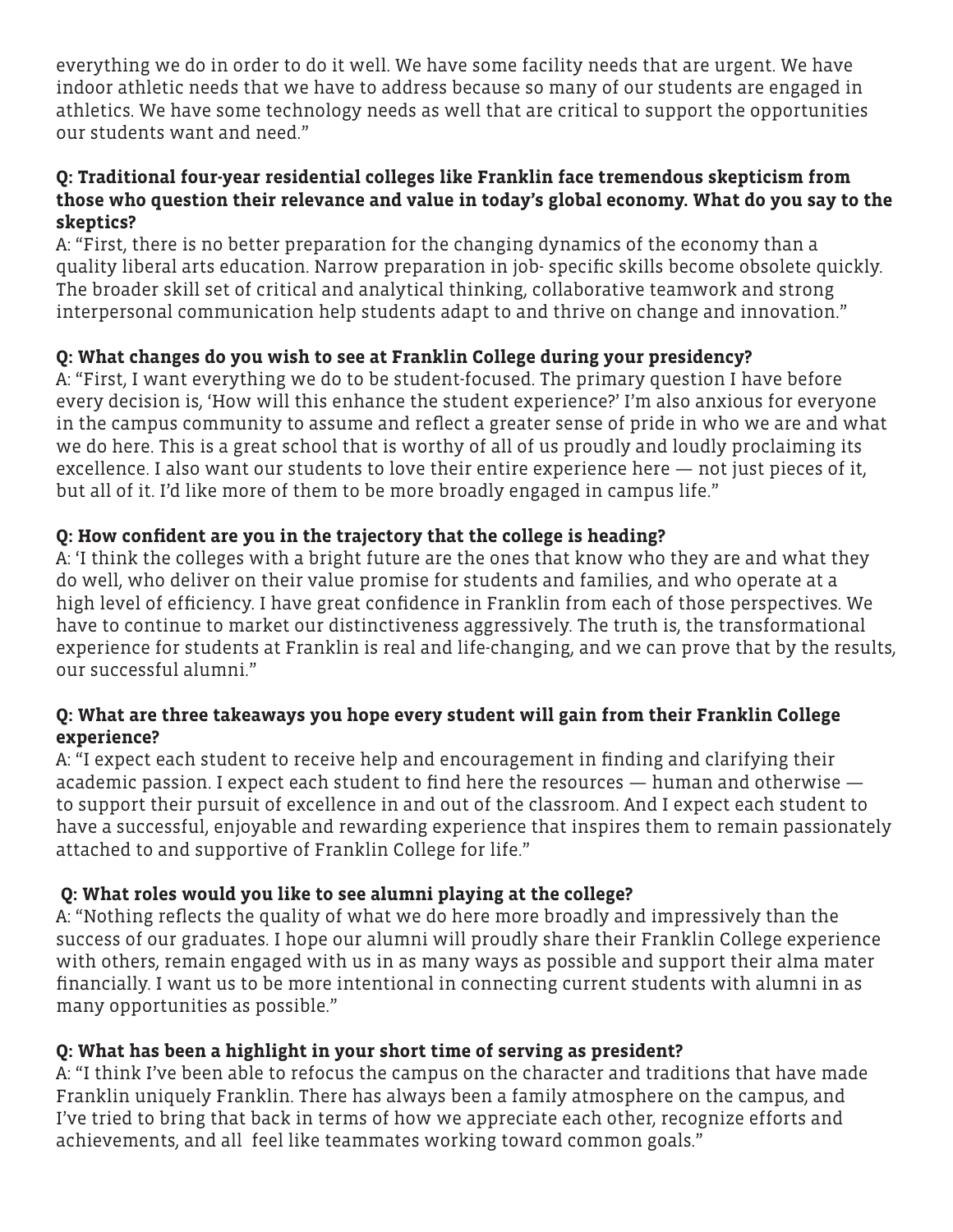everything we do in order to do it well. We have some facility needs that are urgent. We have indoor athletic needs that we have to address because so many of our students are engaged in athletics. We have some technology needs as well that are critical to support the opportunities our students want and need."

#### **Q: Traditional four-year residential colleges like Franklin face tremendous skepticism from those who question their relevance and value in today's global economy. What do you say to the skeptics?**

A: "First, there is no better preparation for the changing dynamics of the economy than a quality liberal arts education. Narrow preparation in job- specific skills become obsolete quickly. The broader skill set of critical and analytical thinking, collaborative teamwork and strong interpersonal communication help students adapt to and thrive on change and innovation."

# **Q: What changes do you wish to see at Franklin College during your presidency?**

A: "First, I want everything we do to be student-focused. The primary question I have before every decision is, 'How will this enhance the student experience?' I'm also anxious for everyone in the campus community to assume and reflect a greater sense of pride in who we are and what we do here. This is a great school that is worthy of all of us proudly and loudly proclaiming its excellence. I also want our students to love their entire experience here — not just pieces of it, but all of it. I'd like more of them to be more broadly engaged in campus life."

# **Q: How confident are you in the trajectory that the college is heading?**

A: 'I think the colleges with a bright future are the ones that know who they are and what they do well, who deliver on their value promise for students and families, and who operate at a high level of efficiency. I have great confidence in Franklin from each of those perspectives. We have to continue to market our distinctiveness aggressively. The truth is, the transformational experience for students at Franklin is real and life-changing, and we can prove that by the results, our successful alumni."

### **Q: What are three takeaways you hope every student will gain from their Franklin College experience?**

A: "I expect each student to receive help and encouragement in finding and clarifying their academic passion. I expect each student to find here the resources — human and otherwise to support their pursuit of excellence in and out of the classroom. And I expect each student to have a successful, enjoyable and rewarding experience that inspires them to remain passionately attached to and supportive of Franklin College for life."

## **Q: What roles would you like to see alumni playing at the college?**

A: "Nothing reflects the quality of what we do here more broadly and impressively than the success of our graduates. I hope our alumni will proudly share their Franklin College experience with others, remain engaged with us in as many ways as possible and support their alma mater financially. I want us to be more intentional in connecting current students with alumni in as many opportunities as possible."

## **Q: What has been a highlight in your short time of serving as president?**

A: "I think I've been able to refocus the campus on the character and traditions that have made Franklin uniquely Franklin. There has always been a family atmosphere on the campus, and I've tried to bring that back in terms of how we appreciate each other, recognize efforts and achievements, and all feel like teammates working toward common goals."